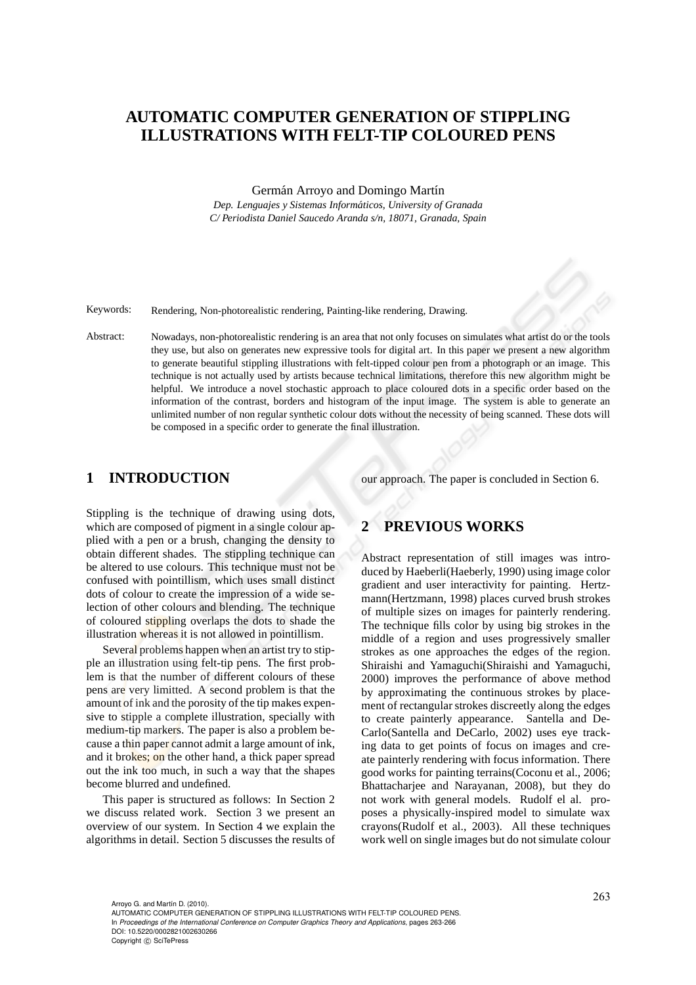# **AUTOMATIC COMPUTER GENERATION OF STIPPLING ILLUSTRATIONS WITH FELT-TIP COLOURED PENS**

Germán Arroyo and Domingo Martín

*Dep. Lenguajes y Sistemas Inform´aticos, University of Granada C/ Periodista Daniel Saucedo Aranda s/n, 18071, Granada, Spain*

Keywords: Rendering, Non-photorealistic rendering, Painting-like rendering, Drawing.

Abstract: Nowadays, non-photorealistic rendering is an area that not only focuses on simulates what artist do or the tools they use, but also on generates new expressive tools for digital art. In this paper we present a new algorithm to generate beautiful stippling illustrations with felt-tipped colour pen from a photograph or an image. This technique is not actually used by artists because technical limitations, therefore this new algorithm might be helpful. We introduce a novel stochastic approach to place coloured dots in a specific order based on the information of the contrast, borders and histogram of the input image. The system is able to generate an unlimited number of non regular synthetic colour dots without the necessity of being scanned. These dots will be composed in a specific order to generate the final illustration.

# **1 INTRODUCTION**

our approach. The paper is concluded in Section 6.

Stippling is the technique of drawing using dots, which are composed of pigment in a single colour applied with a pen or a brush, changing the density to obtain different shades. The stippling technique can be altered to use colours. This technique must not be confused with pointillism, which uses small distinct dots of colour to create the impression of a wide selection of other colours and blending. The technique of coloured stippling overlaps the dots to shade the illustration whereas it is not allowed in pointillism.

Several problems happen when an artist try to stipple an illustration using felt-tip pens. The first problem is that the number of different colours of these pens are very limitted. A second problem is that the amount of ink and the porosity of the tip makes expensive to stipple a complete illustration, specially with medium-tip markers. The paper is also a problem because a thin paper cannot admit a large amount of ink, and it brokes; on the other hand, a thick paper spread out the ink too much, in such a way that the shapes become blurred and undefined.

This paper is structured as follows: In Section 2 we discuss related work. Section 3 we present an overview of our system. In Section 4 we explain the algorithms in detail. Section 5 discusses the results of

### **2 PREVIOUS WORKS**

Abstract representation of still images was introduced by Haeberli(Haeberly, 1990) using image color gradient and user interactivity for painting. Hertzmann(Hertzmann, 1998) places curved brush strokes of multiple sizes on images for painterly rendering. The technique fills color by using big strokes in the middle of a region and uses progressively smaller strokes as one approaches the edges of the region. Shiraishi and Yamaguchi(Shiraishi and Yamaguchi, 2000) improves the performance of above method by approximating the continuous strokes by placement of rectangular strokes discreetly along the edges to create painterly appearance. Santella and De-Carlo(Santella and DeCarlo, 2002) uses eye tracking data to get points of focus on images and create painterly rendering with focus information. There good works for painting terrains(Coconu et al., 2006; Bhattacharjee and Narayanan, 2008), but they do not work with general models. Rudolf el al. proposes a physically-inspired model to simulate wax crayons(Rudolf et al., 2003). All these techniques work well on single images but do not simulate colour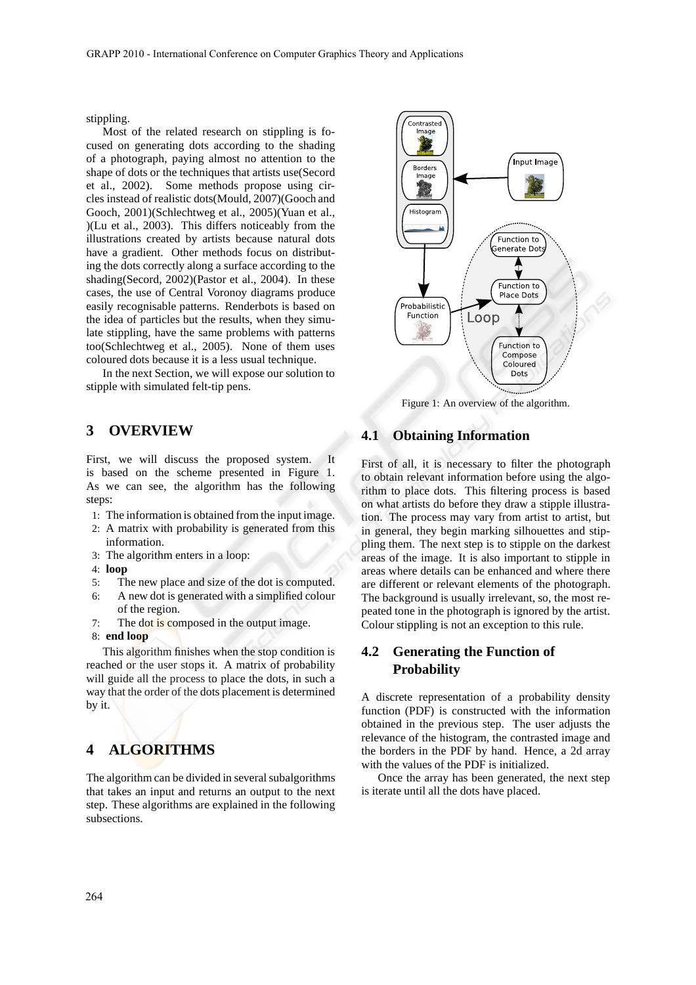stippling.

Most of the related research on stippling is focused on generating dots according to the shading of a photograph, paying almost no attention to the shape of dots or the techniques that artists use(Secord et al., 2002). Some methods propose using circles instead of realistic dots(Mould, 2007)(Gooch and Gooch, 2001)(Schlechtweg et al., 2005)(Yuan et al., )(Lu et al., 2003). This differs noticeably from the illustrations created by artists because natural dots have a gradient. Other methods focus on distributing the dots correctly along a surface according to the shading(Secord, 2002)(Pastor et al., 2004). In these cases, the use of Central Voronoy diagrams produce easily recognisable patterns. Renderbots is based on the idea of particles but the results, when they simulate stippling, have the same problems with patterns too(Schlechtweg et al., 2005). None of them uses coloured dots because it is a less usual technique.

In the next Section, we will expose our solution to stipple with simulated felt-tip pens.

## **3 OVERVIEW**

First, we will discuss the proposed system. It is based on the scheme presented in Figure 1. As we can see, the algorithm has the following steps:

- 1: The information is obtained from the input image.
- 2: A matrix with probability is generated from this information.
- 3: The algorithm enters in a loop:
- 4: **loop**
- 5: The new place and size of the dot is computed.
- 6: A new dot is generated with a simplified colour of the region.
- 7: The dot is composed in the output image.
- 8: **end loop**

This algorithm finishes when the stop condition is reached or the user stops it. A matrix of probability will guide all the process to place the dots, in such a way that the order of the dots placement is determined by it.

# **4 ALGORITHMS**

The algorithm can be divided in several subalgorithms that takes an input and returns an output to the next step. These algorithms are explained in the following subsections.



Figure 1: An overview of the algorithm.

#### **4.1 Obtaining Information**

First of all, it is necessary to filter the photograph to obtain relevant information before using the algorithm to place dots. This filtering process is based on what artists do before they draw a stipple illustration. The process may vary from artist to artist, but in general, they begin marking silhouettes and stippling them. The next step is to stipple on the darkest areas of the image. It is also important to stipple in areas where details can be enhanced and where there are different or relevant elements of the photograph. The background is usually irrelevant, so, the most repeated tone in the photograph is ignored by the artist. Colour stippling is not an exception to this rule.

## **4.2 Generating the Function of Probability**

A discrete representation of a probability density function (PDF) is constructed with the information obtained in the previous step. The user adjusts the relevance of the histogram, the contrasted image and the borders in the PDF by hand. Hence, a 2d array with the values of the PDF is initialized.

Once the array has been generated, the next step is iterate until all the dots have placed.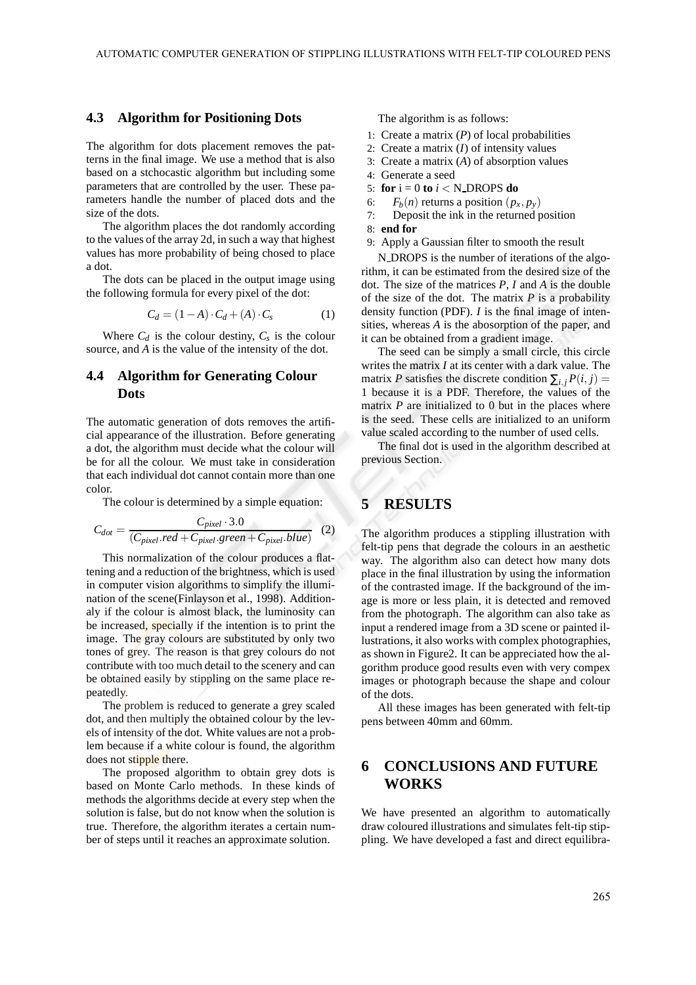#### **4.3 Algorithm for Positioning Dots**

The algorithm for dots placement removes the patterns in the final image. We use a method that is also based on a stchocastic algorithm but including some parameters that are controlled by the user. These parameters handle the number of placed dots and the size of the dots.

The algorithm places the dot randomly according to the values of the array 2d, in such a way that highest values has more probability of being chosed to place a dot.

The dots can be placed in the output image using the following formula for every pixel of the dot:

$$
C_d = (1 - A) \cdot C_d + (A) \cdot C_s \tag{1}
$$

Where  $C_d$  is the colour destiny,  $C_s$  is the colour source, and *A* is the value of the intensity of the dot.

### **4.4 Algorithm for Generating Colour Dots**

The automatic generation of dots removes the artificial appearance of the illustration. Before generating a dot, the algorithm must decide what the colour will be for all the colour. We must take in consideration that each individual dot cannot contain more than one color.

The colour is determined by a simple equation:

$$
C_{dot} = \frac{C_{pixel} \cdot 3.0}{(C_{pixel}.red + C_{pixel}.green + C_{pixel}.blue)} \tag{2}
$$

This normalization of the colour produces a flattening and a reduction of the brightness, which is used in computer vision algorithms to simplify the illumination of the scene(Finlayson et al., 1998). Additionaly if the colour is almost black, the luminosity can be increased, specially if the intention is to print the image. The gray colours are substituted by only two tones of grey. The reason is that grey colours do not contribute with too much detail to the scenery and can be obtained easily by stippling on the same place repeatedly.

The problem is reduced to generate a grey scaled dot, and then multiply the obtained colour by the levels of intensity of the dot. White values are not a problem because if a white colour is found, the algorithm does not stipple there.

The proposed algorithm to obtain grey dots is based on Monte Carlo methods. In these kinds of methods the algorithms decide at every step when the solution is false, but do not know when the solution is true. Therefore, the algorithm iterates a certain number of steps until it reaches an approximate solution.

The algorithm is as follows:

- 1: Create a matrix (*P*) of local probabilities
- 2: Create a matrix (*I*) of intensity values
- 3: Create a matrix (*A*) of absorption values
- 4: Generate a seed
- 5: **for**  $i = 0$  **to**  $i < N$  DROPS **do**
- 6:  $F_b(n)$  returns a position  $(p_x, p_y)$
- 7: Deposit the ink in the returned position
- 8: **end for**
- 9: Apply a Gaussian filter to smooth the result

N DROPS is the number of iterations of the algorithm, it can be estimated from the desired size of the dot. The size of the matrices *P*, *I* and *A* is the double of the size of the dot. The matrix  $P$  is a probability density function (PDF). *I* is the final image of intensities, whereas *A* is the abosorption of the paper, and it can be obtained from a gradient image.

The seed can be simply a small circle, this circle writes the matrix *I* at its center with a dark value. The matrix *P* satisfies the discrete condition  $\sum_{i,j} P(i,j) =$ 1 because it is a PDF. Therefore, the values of the matrix *P* are initialized to 0 but in the places where is the seed. These cells are initialized to an uniform value scaled according to the number of used cells.

The final dot is used in the algorithm described at previous Section.

# **5 RESULTS**

The algorithm produces a stippling illustration with felt-tip pens that degrade the colours in an aesthetic way. The algorithm also can detect how many dots place in the final illustration by using the information of the contrasted image. If the background of the image is more or less plain, it is detected and removed from the photograph. The algorithm can also take as input a rendered image from a 3D scene or painted illustrations, it also works with complex photographies, as shown in Figure2. It can be appreciated how the algorithm produce good results even with very compex images or photograph because the shape and colour of the dots.

All these images has been generated with felt-tip pens between 40mm and 60mm.

# **6 CONCLUSIONS AND FUTURE WORKS**

We have presented an algorithm to automatically draw coloured illustrations and simulates felt-tip stippling. We have developed a fast and direct equilibra-